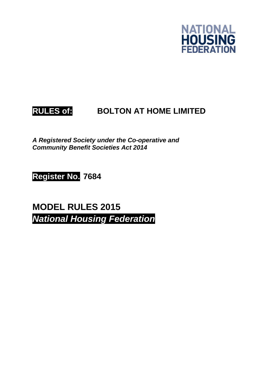

# **RULES of: BOLTON AT HOME LIMITED**

*A Registered Society under the Co-operative and Community Benefit Societies Act 2014* 

**Register No. 7684**

**MODEL RULES 2015**  *National Housing Federation*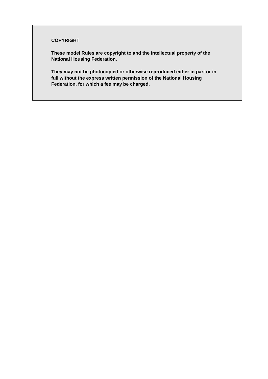#### **COPYRIGHT**

**These model Rules are copyright to and the intellectual property of the National Housing Federation.** 

**They may not be photocopied or otherwise reproduced either in part or in full without the express written permission of the National Housing Federation, for which a fee may be charged.**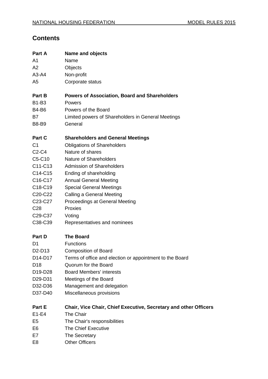# **Contents**

| Part A                           | <b>Name and objects</b>                                          |
|----------------------------------|------------------------------------------------------------------|
| A1                               | Name                                                             |
| A2                               | Objects                                                          |
| $A3-A4$                          | Non-profit                                                       |
| A <sub>5</sub>                   | Corporate status                                                 |
| Part B                           | <b>Powers of Association, Board and Shareholders</b>             |
| <b>B1-B3</b>                     | Powers                                                           |
| <b>B4-B6</b>                     | Powers of the Board                                              |
| B7                               | Limited powers of Shareholders in General Meetings               |
| <b>B8-B9</b>                     | General                                                          |
| Part C                           | <b>Shareholders and General Meetings</b>                         |
| C <sub>1</sub>                   | <b>Obligations of Shareholders</b>                               |
| C <sub>2</sub> -C <sub>4</sub>   | Nature of shares                                                 |
| C5-C10                           | Nature of Shareholders                                           |
| C11-C13                          | <b>Admission of Shareholders</b>                                 |
| C14-C15                          | Ending of shareholding                                           |
| C16-C17                          | <b>Annual General Meeting</b>                                    |
| C18-C19                          | <b>Special General Meetings</b>                                  |
| C <sub>20</sub> -C <sub>22</sub> | Calling a General Meeting                                        |
| C <sub>23</sub> -C <sub>27</sub> | <b>Proceedings at General Meeting</b>                            |
| C <sub>28</sub>                  | Proxies                                                          |
| C <sub>29</sub> -C <sub>37</sub> | Voting                                                           |
| C38-C39                          | Representatives and nominees                                     |
| Part D                           | <b>The Board</b>                                                 |
| D1                               | <b>Functions</b>                                                 |
| D <sub>2</sub> -D <sub>13</sub>  | <b>Composition of Board</b>                                      |
| D <sub>14</sub> -D <sub>17</sub> | Terms of office and election or appointment to the Board         |
| D <sub>18</sub>                  | Quorum for the Board                                             |
| D19-D28                          | <b>Board Members' interests</b>                                  |
| D29-D31                          | Meetings of the Board                                            |
| D32-D36                          | Management and delegation                                        |
| D37-D40                          | Miscellaneous provisions                                         |
| Part E                           | Chair, Vice Chair, Chief Executive, Secretary and other Officers |
| $E1-E4$                          | The Chair                                                        |
| E <sub>5</sub>                   | The Chair's responsibilities                                     |
| E <sub>6</sub>                   | The Chief Executive                                              |
| E7                               | The Secretary                                                    |
| E <sub>8</sub>                   | <b>Other Officers</b>                                            |
|                                  |                                                                  |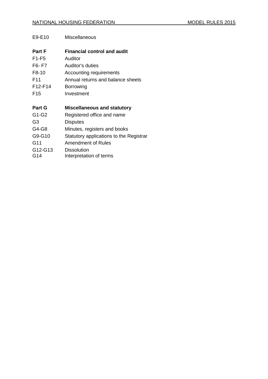| E9-E10          | <b>Miscellaneous</b>                          |
|-----------------|-----------------------------------------------|
| <b>Part F</b>   | <b>Financial control and audit</b>            |
| $F1-F5$         | Auditor                                       |
| F6-F7           | Auditor's duties                              |
| F8-10           | Accounting requirements                       |
| F <sub>11</sub> | Annual returns and balance sheets             |
| F12-F14         | Borrowing                                     |
| F15             | Investment                                    |
| <b>Part G</b>   | <b>Miscellaneous and statutory</b>            |
| G1-G2           | Registered office and name                    |
| G3              | <b>Disputes</b>                               |
| G4-G8           | Minutes, registers and books                  |
| G9-G10          | Statutory applications to the Registrar       |
| G11             | Amendment of Rules                            |
| G12-G13<br>G14  | <b>Dissolution</b><br>Interpretation of terms |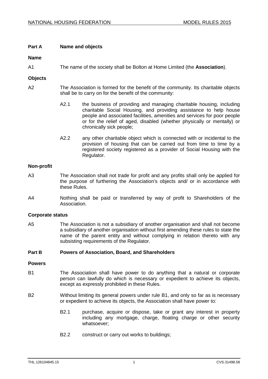# **Part A Name and objects**

# **Name**

A1 The name of the society shall be Bolton at Home Limited (the **Association**).

#### **Objects**

- A2 The Association is formed for the benefit of the community. Its charitable objects shall be to carry on for the benefit of the community:
	- A2.1 the business of providing and managing charitable housing, including charitable Social Housing, and providing assistance to help house people and associated facilities, amenities and services for poor people or for the relief of aged, disabled (whether physically or mentally) or chronically sick people;
	- A2.2 any other charitable object which is connected with or incidental to the provision of housing that can be carried out from time to time by a registered society registered as a provider of Social Housing with the Regulator.

# **Non-profit**

- <span id="page-4-1"></span>A3 The Association shall not trade for profit and any profits shall only be applied for the purpose of furthering the Association's objects and/ or in accordance with these Rules.
- <span id="page-4-2"></span>A4 Nothing shall be paid or transferred by way of profit to Shareholders of the Association.

#### **Corporate status**

A5 The Association is not a subsidiary of another organisation and shall not become a subsidiary of another organisation without first amending these rules to state the name of the parent entity and without complying in relation thereto with any subsisting requirements of the Regulator.

#### **Part B Powers of Association, Board, and Shareholders**

#### **Powers**

- <span id="page-4-0"></span>B1 The Association shall have power to do anything that a natural or corporate person can lawfully do which is necessary or expedient to achieve its objects, except as expressly prohibited in these Rules.
- B2 Without limiting its general powers under rule [B1,](#page-4-0) and only so far as is necessary or expedient to achieve its objects, the Association shall have power to:
	- B2.1 purchase, acquire or dispose, take or grant any interest in property including any mortgage, charge, floating charge or other security whatsoever;
	- B2.2 construct or carry out works to buildings;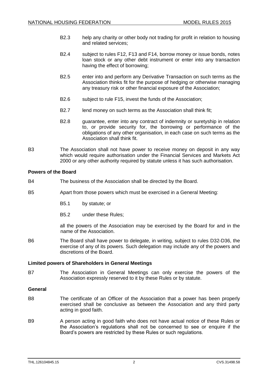- B2.3 help any charity or other body not trading for profit in relation to housing and related services;
- B2.4 subject to rules F12, F13 and F14, borrow money or issue bonds, notes loan stock or any other debt instrument or enter into any transaction having the effect of borrowing;
- B2.5 enter into and perform any Derivative Transaction on such terms as the Association thinks fit for the purpose of hedging or otherwise managing any treasury risk or other financial exposure of the Association;
- B2.6 subject to rule [F15,](#page-23-0) invest the funds of the Association;
- B2.7 lend money on such terms as the Association shall think fit;
- B2.8 guarantee, enter into any contract of indemnity or suretyship in relation to, or provide security for, the borrowing or performance of the obligations of any other organisation, in each case on such terms as the Association shall think fit.
- B3 The Association shall not have power to receive money on deposit in any way which would require authorisation under the Financial Services and Markets Act 2000 or any other authority required by statute unless it has such authorisation.

# **Powers of the Board**

- B4 The business of the Association shall be directed by the Board.
- B5 Apart from those powers which must be exercised in a General Meeting:
	- B5.1 by statute; or
	- B5.2 under these Rules;

all the powers of the Association may be exercised by the Board for and in the name of the Association.

B6 The Board shall have power to delegate, in writing, subject to rules [D32](#page-19-0)[-D36,](#page-20-0) the exercise of any of its powers. Such delegation may include any of the powers and discretions of the Board.

# **Limited powers of Shareholders in General Meetings**

B7 The Association in General Meetings can only exercise the powers of the Association expressly reserved to it by these Rules or by statute.

#### **General**

- B8 The certificate of an Officer of the Association that a power has been properly exercised shall be conclusive as between the Association and any third party acting in good faith.
- B9 A person acting in good faith who does not have actual notice of these Rules or the Association's regulations shall not be concerned to see or enquire if the Board's powers are restricted by these Rules or such regulations.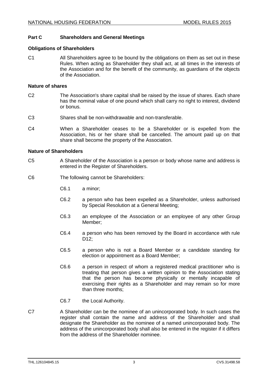# **Part C Shareholders and General Meetings**

#### **Obligations of Shareholders**

C1 All Shareholders agree to be bound by the obligations on them as set out in these Rules. When acting as Shareholder they shall act, at all times in the interests of the Association and for the benefit of the community, as guardians of the objects of the Association.

#### **Nature of shares**

- <span id="page-6-1"></span>C2 The Association's share capital shall be raised by the issue of shares. Each share has the nominal value of one pound which shall carry no right to interest, dividend or bonus.
- C3 Shares shall be non-withdrawable and non-transferable.
- <span id="page-6-2"></span>C4 When a Shareholder ceases to be a Shareholder or is expelled from the Association, his or her share shall be cancelled. The amount paid up on that share shall become the property of the Association.

#### **Nature of Shareholders**

- <span id="page-6-3"></span>C5 A Shareholder of the Association is a person or body whose name and address is entered in the Register of Shareholders.
- <span id="page-6-0"></span>C6 The following cannot be Shareholders:
	- C6.1 a minor;
	- C6.2 a person who has been expelled as a Shareholder, unless authorised by Special Resolution at a General Meeting;
	- C6.3 an employee of the Association or an employee of any other Group Member;
	- C6.4 a person who has been removed by the Board in accordance with rule [D12;](#page-14-0)
	- C6.5 a person who is not a Board Member or a candidate standing for election or appointment as a Board Member;
	- C6.6 a person in respect of whom a registered medical practitioner who is treating that person gives a written opinion to the Association stating that the person has become physically or mentally incapable of exercising their rights as a Shareholder and may remain so for more than three months;
	- C6.7 the Local Authority.
- C7 A Shareholder can be the nominee of an unincorporated body. In such cases the register shall contain the name and address of the Shareholder and shall designate the Shareholder as the nominee of a named unincorporated body. The address of the unincorporated body shall also be entered in the register if it differs from the address of the Shareholder nominee.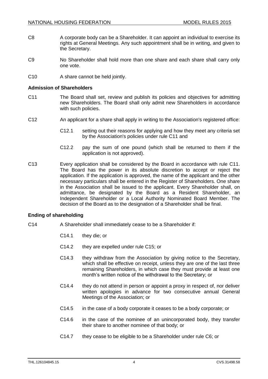- C8 A corporate body can be a Shareholder. It can appoint an individual to exercise its rights at General Meetings. Any such appointment shall be in writing, and given to the Secretary.
- C9 No Shareholder shall hold more than one share and each share shall carry only one vote.
- C10 A share cannot be held jointly.

#### **Admission of Shareholders**

- <span id="page-7-0"></span>C11 The Board shall set, review and publish its policies and objectives for admitting new Shareholders. The Board shall only admit new Shareholders in accordance with such policies.
- C12 An applicant for a share shall apply in writing to the Association's registered office:
	- C12.1 setting out their reasons for applying and how they meet any criteria set by the Association's policies under rule [C11](#page-7-0) and
	- C12.2 pay the sum of one pound (which shall be returned to them if the application is not approved).
- C13 Every application shall be considered by the Board in accordance with rule [C11.](#page-7-0) The Board has the power in its absolute discretion to accept or reject the application. If the application is approved, the name of the applicant and the other necessary particulars shall be entered in the Register of Shareholders. One share in the Association shall be issued to the applicant. Every Shareholder shall, on admittance, be designated by the Board as a Resident Shareholder, an Independent Shareholder or a Local Authority Nominated Board Member. The decision of the Board as to the designation of a Shareholder shall be final.

# **Ending of shareholding**

- C14 A Shareholder shall immediately cease to be a Shareholder if:
	- C14.1 they die; or
	- C14.2 they are expelled under rule [C15;](#page-8-0) or
	- C14.3 they withdraw from the Association by giving notice to the Secretary, which shall be effective on receipt, unless they are one of the last three remaining Shareholders, in which case they must provide at least one month's written notice of the withdrawal to the Secretary; or
	- C14.4 they do not attend in person or appoint a proxy in respect of, nor deliver written apologies in advance for two consecutive annual General Meetings of the Association; or
	- C14.5 in the case of a body corporate it ceases to be a body corporate; or
	- C14.6 in the case of the nominee of an unincorporated body, they transfer their share to another nominee of that body; or
	- C14.7 they cease to be eligible to be a Shareholder under rule [C6;](#page-6-0) or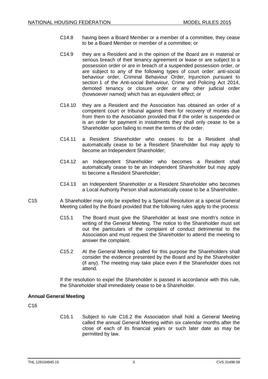- C14.8 having been a Board Member or a member of a committee, they cease to be a Board Member or member of a committee; or
- C14.9 they are a Resident and in the opinion of the Board are in material or serious breach of their tenancy agreement or lease or are subject to a possession order or are in breach of a suspended possession order, or are subject to any of the following types of court order: anti-social behaviour order, Criminal Behaviour Order, Injunction pursuant to section 1 of the Anti-social Behaviour, Crime and Policing Act 2014, demoted tenancy or closure order or any other judicial order (howsoever named) which has an equivalent effect; or
- C14.10 they are a Resident and the Association has obtained an order of a competent court or tribunal against them for recovery of monies due from them to the Association provided that if the order is suspended or is an order for payment in instalments they shall only cease to be a Shareholder upon failing to meet the terms of the order.
- C14.11 a Resident Shareholder who ceases to be a Resident shall automatically cease to be a Resident Shareholder but may apply to become an Independent Shareholder;
- C14.12 an Independent Shareholder who becomes a Resident shall automatically cease to be an Independent Shareholder but may apply to become a Resident Shareholder;
- C14.13 an Independent Shareholder or a Resident Shareholder who becomes a Local Authority Person shall automatically cease to be a Shareholder.
- <span id="page-8-0"></span>C15 A Shareholder may only be expelled by a Special Resolution at a special General Meeting called by the Board provided that the following rules apply to the process:
	- C15.1 The Board must give the Shareholder at least one month's notice in writing of the General Meeting. The notice to the Shareholder must set out the particulars of the complaint of conduct detrimental to the Association and must request the Shareholder to attend the meeting to answer the complaint.
	- C15.2 At the General Meeting called for this purpose the Shareholders shall consider the evidence presented by the Board and by the Shareholder (if any). The meeting may take place even if the Shareholder does not attend.

If the resolution to expel the Shareholder is passed in accordance with this rule, the Shareholder shall immediately cease to be a Shareholder.

# **Annual General Meeting**

<span id="page-8-1"></span>C16

C16.1 Subject to rule [C16.2](#page-9-0) the Association shall hold a General Meeting called the annual General Meeting within six calendar months after the close of each of its financial years or such later date as may be permitted by law.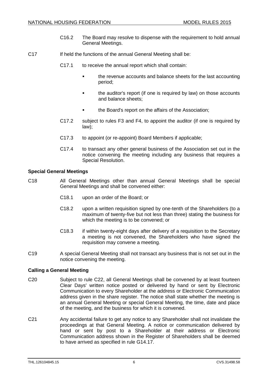- C16.2 The Board may resolve to dispense with the requirement to hold annual General Meetings.
- <span id="page-9-0"></span>C17 If held the functions of the annual General Meeting shall be:
	- C17.1 to receive the annual report which shall contain:
		- the revenue accounts and balance sheets for the last accounting period;
		- **the auditor's report (if one is required by law) on those accounts** and balance sheets;
		- the Board's report on the affairs of the Association;
	- C17.2 subject to rules [F3](#page-21-0) and [F4,](#page-21-1) to appoint the auditor (if one is required by law);
	- C17.3 to appoint (or re-appoint) Board Members if applicable;
	- C17.4 to transact any other general business of the Association set out in the notice convening the meeting including any business that requires a Special Resolution.

# **Special General Meetings**

- C18 All General Meetings other than annual General Meetings shall be special General Meetings and shall be convened either:
	- C18.1 upon an order of the Board; or
	- C18.2 upon a written requisition signed by one-tenth of the Shareholders (to a maximum of twenty-five but not less than three) stating the business for which the meeting is to be convened; or
	- C18.3 if within twenty-eight days after delivery of a requisition to the Secretary a meeting is not convened, the Shareholders who have signed the requisition may convene a meeting.
- C19 A special General Meeting shall not transact any business that is not set out in the notice convening the meeting.

# **Calling a General Meeting**

- <span id="page-9-1"></span>C20 Subject to rule [C22,](#page-10-0) all General Meetings shall be convened by at least fourteen Clear Days' written notice posted or delivered by hand or sent by Electronic Communication to every Shareholder at the address or Electronic Communication address given in the share register. The notice shall state whether the meeting is an annual General Meeting or special General Meeting, the time, date and place of the meeting, and the business for which it is convened.
- C21 Any accidental failure to get any notice to any Shareholder shall not invalidate the proceedings at that General Meeting. A notice or communication delivered by hand or sent by post to a Shareholder at their address or Electronic Communication address shown in the Register of Shareholders shall be deemed to have arrived as specified in rule [G14.17.](#page-27-0)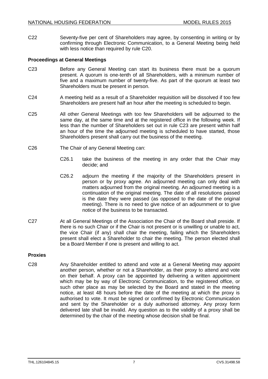<span id="page-10-0"></span>C22 Seventy-five per cent of Shareholders may agree, by consenting in writing or by confirming through Electronic Communication, to a General Meeting being held with less notice than required by rule [C20.](#page-9-1)

# **Proceedings at General Meetings**

- <span id="page-10-1"></span>C23 Before any General Meeting can start its business there must be a quorum present. A quorum is one-tenth of all Shareholders, with a minimum number of five and a maximum number of twenty-five. As part of the quorum at least two Shareholders must be present in person.
- C24 A meeting held as a result of a Shareholder requisition will be dissolved if too few Shareholders are present half an hour after the meeting is scheduled to begin.
- C25 All other General Meetings with too few Shareholders will be adjourned to the same day, at the same time and at the registered office in the following week. If less than the number of Shareholders set out in rule [C23](#page-10-1) are present within half an hour of the time the adjourned meeting is scheduled to have started, those Shareholders present shall carry out the business of the meeting.
- C26 The Chair of any General Meeting can:
	- C26.1 take the business of the meeting in any order that the Chair may decide; and
	- C26.2 adjourn the meeting if the majority of the Shareholders present in person or by proxy agree. An adjourned meeting can only deal with matters adjourned from the original meeting. An adjourned meeting is a continuation of the original meeting. The date of all resolutions passed is the date they were passed (as opposed to the date of the original meeting). There is no need to give notice of an adjournment or to give notice of the business to be transacted.
- C27 At all General Meetings of the Association the Chair of the Board shall preside. If there is no such Chair or if the Chair is not present or is unwilling or unable to act, the vice Chair (if any) shall chair the meeting, failing which the Shareholders present shall elect a Shareholder to chair the meeting. The person elected shall be a Board Member if one is present and willing to act.

# **Proxies**

C28 Any Shareholder entitled to attend and vote at a General Meeting may appoint another person, whether or not a Shareholder, as their proxy to attend and vote on their behalf. A proxy can be appointed by delivering a written appointment which may be by way of Electronic Communication, to the registered office, or such other place as may be selected by the Board and stated in the meeting notice, at least 48 hours before the date of the meeting at which the proxy is authorised to vote. It must be signed or confirmed by Electronic Communication and sent by the Shareholder or a duly authorised attorney. Any proxy form delivered late shall be invalid. Any question as to the validity of a proxy shall be determined by the chair of the meeting whose decision shall be final.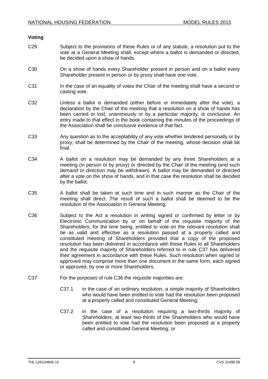#### **Voting**

- C29 Subject to the provisions of these Rules or of any statute, a resolution put to the vote at a General Meeting shall, except where a ballot is demanded or directed, be decided upon a show of hands.
- C30 On a show of hands every Shareholder present in person and on a ballot every Shareholder present in person or by proxy shall have one vote.
- C31 In the case of an equality of votes the Chair of the meeting shall have a second or casting vote.
- C32 Unless a ballot is demanded (either before or immediately after the vote), a declaration by the Chair of the meeting that a resolution on a show of hands has been carried or lost, unanimously or by a particular majority, is conclusive. An entry made to that effect in the book containing the minutes of the proceedings of the Association shall be conclusive evidence of that fact.
- C33 Any question as to the acceptability of any vote whether tendered personally or by proxy, shall be determined by the Chair of the meeting, whose decision shall be final.
- C34 A ballot on a resolution may be demanded by any three Shareholders at a meeting (in person or by proxy) or directed by the Chair of the meeting (and such demand or direction may be withdrawn). A ballot may be demanded or directed after a vote on the show of hands, and in that case the resolution shall be decided by the ballot.
- C35 A ballot shall be taken at such time and in such manner as the Chair of the meeting shall direct. The result of such a ballot shall be deemed to be the resolution of the Association in General Meeting.
- <span id="page-11-1"></span>C36 Subject to the Act a resolution in writing signed or confirmed by letter or by Electronic Communication by or on behalf of the requisite majority of the Shareholders, for the time being, entitled to vote on the relevant resolution shall be as valid and effective as a resolution passed at a properly called and constituted meeting of Shareholders provided that a copy of the proposed resolution has been delivered in accordance with these Rules to all Shareholders and the requisite majority of Shareholders referred to in rule [C37](#page-11-0) has delivered their agreement in accordance with these Rules. Such resolution when signed or approved may comprise more than one document in the same form, each signed or approved, by one or more Shareholders.
- <span id="page-11-0"></span>C37 For the purposes of rule [C36](#page-11-1) the requisite majorities are:
	- C37.1 in the case of an ordinary resolution, a simple majority of Shareholders who would have been entitled to vote had the resolution been proposed at a properly called and constituted General Meeting;
	- C37.2 in the case of a resolution requiring a two-thirds majority of Shareholders, at least two-thirds of the Shareholders who would have been entitled to vote had the resolution been proposed at a properly called and constituted General Meeting; or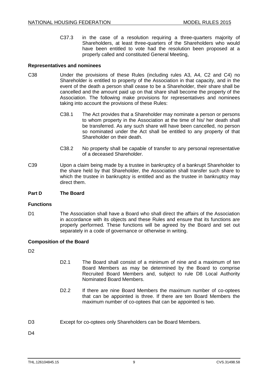C37.3 in the case of a resolution requiring a three-quarters majority of Shareholders, at least three-quarters of the Shareholders who would have been entitled to vote had the resolution been proposed at a properly called and constituted General Meeting,

#### **Representatives and nominees**

- C38 Under the provisions of these Rules (including rules [A3,](#page-4-1) [A4,](#page-4-2) [C2](#page-6-1) and [C4\)](#page-6-2) no Shareholder is entitled to property of the Association in that capacity, and in the event of the death a person shall cease to be a Shareholder, their share shall be cancelled and the amount paid up on that share shall become the property of the Association. The following make provisions for representatives and nominees taking into account the provisions of these Rules:
	- C38.1 The Act provides that a Shareholder may nominate a person or persons to whom property in the Association at the time of his/ her death shall be transferred. As any such share will have been cancelled, no person so nominated under the Act shall be entitled to any property of that Shareholder on their death.
	- C38.2 No property shall be capable of transfer to any personal representative of a deceased Shareholder.
- C39 Upon a claim being made by a trustee in bankruptcy of a bankrupt Shareholder to the share held by that Shareholder, the Association shall transfer such share to which the trustee in bankruptcy is entitled and as the trustee in bankruptcy may direct them.

#### **Part D The Board**

#### **Functions**

D1 The Association shall have a Board who shall direct the affairs of the Association in accordance with its objects and these Rules and ensure that its functions are properly performed. These functions will be agreed by the Board and set out separately in a code of governance or otherwise in writing.

# **Composition of the Board**

D<sub>2</sub>

- D2.1 The Board shall consist of a minimum of nine and a maximum of ten Board Members as may be determined by the Board to comprise Recruited Board Members and, subject to rule [D8](#page-13-0) Local Authority Nominated Board Members.
- D2.2 If there are nine Board Members the maximum number of co-optees that can be appointed is three. If there are ten Board Members the maximum number of co-optees that can be appointed is two.
- <span id="page-12-0"></span>D3 Except for co-optees only Shareholders can be Board Members.

 $D4$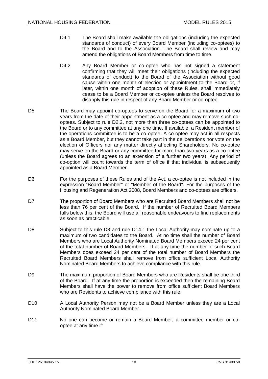- D4.1 The Board shall make available the obligations (including the expected standards of conduct) of every Board Member (including co-optees) to the Board and to the Association. The Board shall review and may amend the obligations of Board Members from time to time.
- D4.2 Any Board Member or co-optee who has not signed a statement confirming that they will meet their obligations (including the expected standards of conduct) to the Board of the Association without good cause within one month of election or appointment to the Board or, if later, within one month of adoption of these Rules, shall immediately cease to be a Board Member or co-optee unless the Board resolves to disapply this rule in respect of any Board Member or co-optee.
- <span id="page-13-1"></span>D5 The Board may appoint co-optees to serve on the Board for a maximum of two years from the date of their appointment as a co-optee and may remove such cooptees. Subject to rule [D2.2,](#page-12-0) not more than three co-optees can be appointed to the Board or to any committee at any one time. If available, a Resident member of the operations committee is to be a co-optee. A co-optee may act in all respects as a Board Member, but they cannot take part in the deliberations nor vote on the election of Officers nor any matter directly affecting Shareholders. No co-optee may serve on the Board or any committee for more than two years as a co-optee (unless the Board agrees to an extension of a further two years). Any period of co-option will count towards the term of office if that individual is subsequently appointed as a Board Member.
- D6 For the purposes of these Rules and of the Act, a co-optee is not included in the expression "Board Member" or "Member of the Board". For the purposes of the Housing and Regeneration Act 2008, Board Members and co-optees are officers.
- D7 The proportion of Board Members who are Recruited Board Members shall not be less than 76 per cent of the Board. If the number of Recruited Board Members falls below this, the Board will use all reasonable endeavours to find replacements as soon as practicable.
- <span id="page-13-0"></span>D8 Subject to this rule [D8](#page-13-0) and rule [D14.1](#page-15-0) the Local Authority may nominate up to a maximum of two candidates to the Board. At no time shall the number of Board Members who are Local Authority Nominated Board Members exceed 24 per cent of the total number of Board Members. If at any time the number of such Board Members does exceed 24 per cent of the total number of Board Members the Recruited Board Members shall remove from office sufficient Local Authority Nominated Board Members to achieve compliance with this rule.
- D9 The maximum proportion of Board Members who are Residents shall be one third of the Board. If at any time the proportion is exceeded then the remaining Board Members shall have the power to remove from office sufficient Board Members who are Residents to achieve compliance with this rule.
- D10 A Local Authority Person may not be a Board Member unless they are a Local Authority Nominated Board Member.
- D11 No one can become or remain a Board Member, a committee member or cooptee at any time if: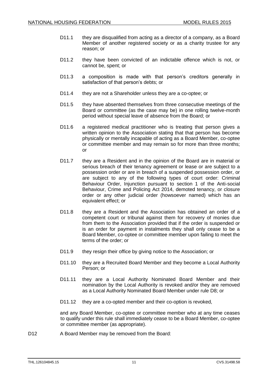- D11.1 they are disqualified from acting as a director of a company, as a Board Member of another registered society or as a charity trustee for any reason; or
- D11.2 they have been convicted of an indictable offence which is not, or cannot be, spent; or
- D11.3 a composition is made with that person's creditors generally in satisfaction of that person's debts; or
- D11.4 they are not a Shareholder unless they are a co-optee; or
- D11.5 they have absented themselves from three consecutive meetings of the Board or committee (as the case may be) in one rolling twelve-month period without special leave of absence from the Board; or
- D11.6 a registered medical practitioner who is treating that person gives a written opinion to the Association stating that that person has become physically or mentally incapable of acting as a Board Member, co-optee or committee member and may remain so for more than three months; or
- D11.7 they are a Resident and in the opinion of the Board are in material or serious breach of their tenancy agreement or lease or are subject to a possession order or are in breach of a suspended possession order, or are subject to any of the following types of court order: Criminal Behaviour Order, Injunction pursuant to section 1 of the Anti-social Behaviour, Crime and Policing Act 2014, demoted tenancy, or closure order or any other judicial order (howsoever named) which has an equivalent effect; or
- D11.8 they are a Resident and the Association has obtained an order of a competent court or tribunal against them for recovery of monies due from them to the Association provided that if the order is suspended or is an order for payment in instalments they shall only cease to be a Board Member, co-optee or committee member upon failing to meet the terms of the order; or
- D11.9 they resign their office by giving notice to the Association; or
- D11.10 they are a Recruited Board Member and they become a Local Authority Person; or
- D11.11 they are a Local Authority Nominated Board Member and their nomination by the Local Authority is revoked and/or they are removed as a Local Authority Nominated Board Member under rule [D8;](#page-13-0) or
- D11.12 they are a co-opted member and their co-option is revoked,

and any Board Member, co-optee or committee member who at any time ceases to qualify under this rule shall immediately cease to be a Board Member, co-optee or committee member (as appropriate).

<span id="page-14-0"></span>D12 A Board Member may be removed from the Board: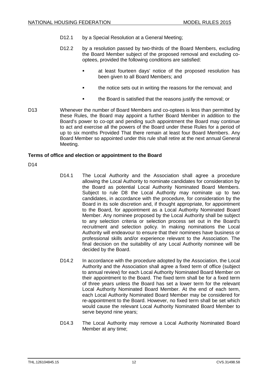- D12.1 by a Special Resolution at a General Meeting;
- D12.2 by a resolution passed by two-thirds of the Board Members, excluding the Board Member subject of the proposed removal and excluding cooptees, provided the following conditions are satisfied:
	- at least fourteen days' notice of the proposed resolution has been given to all Board Members; and
	- the notice sets out in writing the reasons for the removal; and
	- the Board is satisfied that the reasons justify the removal; or
- D13 Whenever the number of Board Members and co-optees is less than permitted by these Rules, the Board may appoint a further Board Member in addition to the Board's power to co-opt and pending such appointment the Board may continue to act and exercise all the powers of the Board under these Rules for a period of up to six months Provided That there remain at least four Board Members. Any Board Member so appointed under this rule shall retire at the next annual General Meeting.

# **Terms of office and election or appointment to the Board**

<span id="page-15-0"></span>D<sub>14</sub>

- D14.1 The Local Authority and the Association shall agree a procedure allowing the Local Authority to nominate candidates for consideration by the Board as potential Local Authority Nominated Board Members. Subject to rule [D8](#page-13-0) the Local Authority may nominate up to two candidates, in accordance with the procedure, for consideration by the Board in its sole discretion and, if thought appropriate, for appointment to the Board, for appointment as a Local Authority Nominated Board Member. Any nominee proposed by the Local Authority shall be subject to any selection criteria or selection process set out in the Board's recruitment and selection policy. In making nominations the Local Authority will endeavour to ensure that their nominees have business or professional skills and/or experience relevant to the Association. The final decision on the suitability of any Local Authority nominee will be decided by the Board.
- D14.2 In accordance with the procedure adopted by the Association, the Local Authority and the Association shall agree a fixed term of office (subject to annual review) for each Local Authority Nominated Board Member on their appointment to the Board. The fixed term shall be for a fixed term of three years unless the Board has set a lower term for the relevant Local Authority Nominated Board Member. At the end of each term, each Local Authority Nominated Board Member may be considered for re-appointment to the Board. However, no fixed term shall be set which would cause the relevant Local Authority Nominated Board Member to serve beyond nine years;
- D14.3 The Local Authority may remove a Local Authority Nominated Board Member at any time;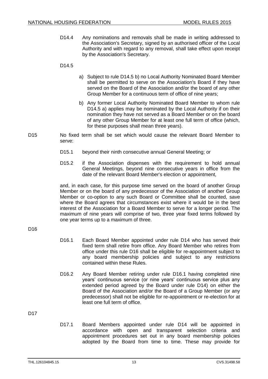D14.4 Any nominations and removals shall be made in writing addressed to the Association's Secretary, signed by an authorised officer of the Local Authority and with regard to any removal, shall take effect upon receipt by the Association's Secretary.

#### <span id="page-16-2"></span><span id="page-16-0"></span>D14.5

- a) Subject to rule [D14.5](#page-16-0) [b\)](#page-16-1) no Local Authority Nominated Board Member shall be permitted to serve on the Association's Board if they have served on the Board of the Association and/or the board of any other Group Member for a continuous term of office of nine years;
- b) Any former Local Authority Nominated Board Member to whom rule [D14.5](#page-16-0) [a\)](#page-16-2) applies may be nominated by the Local Authority if on their nomination they have not served as a Board Member or on the board of any other Group Member for at least one full term of office (which, for these purposes shall mean three years).
- <span id="page-16-1"></span>D15 No fixed term shall be set which would cause the relevant Board Member to serve:
	- D15.1 beyond their ninth consecutive annual General Meeting; or
	- D15.2 if the Association dispenses with the requirement to hold annual General Meetings, beyond nine consecutive years in office from the date of the relevant Board Member's election or appointment,

and, in each case, for this purpose time served on the board of another Group Member or on the board of any predecessor of the Association of another Group Member or co-option to any such Board or Committee shall be counted, save where the Board agrees that circumstances exist where it would be in the best interest of the Association for a Board Member to serve for a longer period. The maximum of nine years will comprise of two, three year fixed terms followed by one year terms up to a maximum of three.

# <span id="page-16-4"></span><span id="page-16-3"></span>D<sub>16</sub>

- D16.1 Each Board Member appointed under rule D14 who has served their fixed term shall retire from office. Any Board Member who retires from office under this rule [D16](#page-16-3) shall be eligible for re-appointment subject to any board membership policies and subject to any restrictions contained within these Rules.
- D16.2 Any Board Member retiring under rule [D16.1](#page-16-4) having completed nine years' continuous service (or nine years' continuous service plus any extended period agreed by the Board under rule D14) on either the Board of the Association and/or the Board of a Group Member (or any predecessor) shall not be eligible for re-appointment or re-election for at least one full term of office.

<span id="page-16-5"></span>D<sub>17</sub>

D17.1 Board Members appointed under rule D14 will be appointed in accordance with open and transparent selection criteria and appointment procedures set out in any board membership policies adopted by the Board from time to time. These may provide for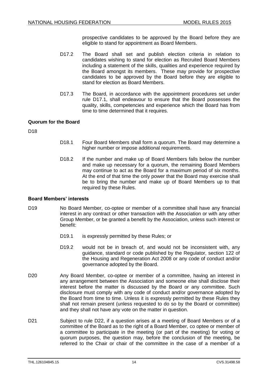prospective candidates to be approved by the Board before they are eligible to stand for appointment as Board Members.

- D17.2 The Board shall set and publish election criteria in relation to candidates wishing to stand for election as Recruited Board Members including a statement of the skills, qualities and experience required by the Board amongst its members. These may provide for prospective candidates to be approved by the Board before they are eligible to stand for election as Board Members.
- D17.3 The Board, in accordance with the appointment procedures set under rule [D17.1,](#page-16-5) shall endeavour to ensure that the Board possesses the quality, skills, competencies and experience which the Board has from time to time determined that it requires.

# **Quorum for the Board**

D18

- D18.1 Four Board Members shall form a quorum. The Board may determine a higher number or impose additional requirements.
- D18.2 If the number and make up of Board Members falls below the number and make up necessary for a quorum, the remaining Board Members may continue to act as the Board for a maximum period of six months. At the end of that time the only power that the Board may exercise shall be to bring the number and make up of Board Members up to that required by these Rules.

# **Board Members' interests**

- <span id="page-17-0"></span>D19 No Board Member, co-optee or member of a committee shall have any financial interest in any contract or other transaction with the Association or with any other Group Member, or be granted a benefit by the Association, unless such interest or benefit:
	- D<sub>19.1</sub> is expressly permitted by these Rules; or
	- D19.2 would not be in breach of, and would not be inconsistent with, any guidance, standard or code published by the Regulator, section 122 of the Housing and Regeneration Act 2008 or any code of conduct and/or governance adopted by the Board.
- <span id="page-17-1"></span>D20 Any Board Member, co-optee or member of a committee, having an interest in any arrangement between the Association and someone else shall disclose their interest before the matter is discussed by the Board or any committee. Such disclosure must comply with any code of conduct and/or governance adopted by the Board from time to time. Unless it is expressly permitted by these Rules they shall not remain present (unless requested to do so by the Board or committee) and they shall not have any vote on the matter in question.
- D21 Subject to rule [D22,](#page-18-0) if a question arises at a meeting of Board Members or of a committee of the Board as to the right of a Board Member, co optee or member of a committee to participate in the meeting (or part of the meeting) for voting or quorum purposes, the question may, before the conclusion of the meeting, be referred to the Chair or chair of the committee in the case of a member of a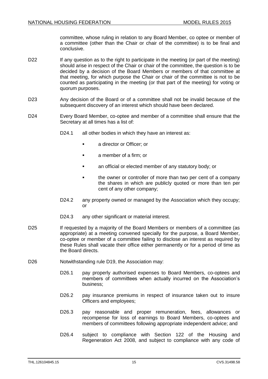committee, whose ruling in relation to any Board Member, co optee or member of a committee (other than the Chair or chair of the committee) is to be final and conclusive.

- <span id="page-18-0"></span>D22 If any question as to the right to participate in the meeting (or part of the meeting) should arise in respect of the Chair or chair of the committee, the question is to be decided by a decision of the Board Members or members of that committee at that meeting, for which purpose the Chair or chair of the committee is not to be counted as participating in the meeting (or that part of the meeting) for voting or quorum purposes.
- D23 Any decision of the Board or of a committee shall not be invalid because of the subsequent discovery of an interest which should have been declared.
- <span id="page-18-1"></span>D24 Every Board Member, co-optee and member of a committee shall ensure that the Secretary at all times has a list of:
	- D24.1 all other bodies in which they have an interest as:
		- a director or Officer; or
		- **a** member of a firm; or
		- **an official or elected member of any statutory body; or**
		- the owner or controller of more than two per cent of a company the shares in which are publicly quoted or more than ten per cent of any other company;
	- D24.2 any property owned or managed by the Association which they occupy; or
	- D24.3 any other significant or material interest.
- D25 If requested by a majority of the Board Members or members of a committee (as appropriate) at a meeting convened specially for the purpose, a Board Member, co-optee or member of a committee failing to disclose an interest as required by these Rules shall vacate their office either permanently or for a period of time as the Board directs.
- D26 Notwithstanding rule [D19,](#page-17-0) the Association may:
	- D26.1 pay properly authorised expenses to Board Members, co-optees and members of committees when actually incurred on the Association's business;
	- D26.2 pay insurance premiums in respect of insurance taken out to insure Officers and employees;
	- D26.3 pay reasonable and proper remuneration, fees, allowances or recompense for loss of earnings to Board Members, co-optees and members of committees following appropriate independent advice; and
	- D26.4 subject to compliance with Section 122 of the Housing and Regeneration Act 2008, and subject to compliance with any code of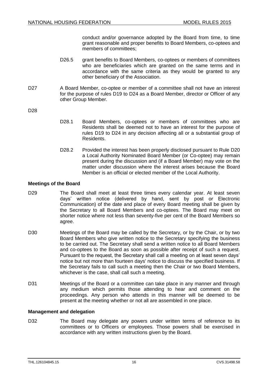conduct and/or governance adopted by the Board from time, to time grant reasonable and proper benefits to Board Members, co-optees and members of committees;

- D26.5 grant benefits to Board Members, co-optees or members of committees who are beneficiaries which are granted on the same terms and in accordance with the same criteria as they would be granted to any other beneficiary of the Association.
- D27 A Board Member, co-optee or member of a committee shall not have an interest for the purpose of rules [D19](#page-17-0) to [D24](#page-18-1) as a Board Member, director or Officer of any other Group Member.

D28

- D28.1 Board Members, co-optees or members of committees who are Residents shall be deemed not to have an interest for the purpose of rules [D19](#page-17-0) to [D24](#page-18-1) in any decision affecting all or a substantial group of Residents.
- D28.2 Provided the interest has been properly disclosed pursuant to Rule [D20](#page-17-1) a Local Authority Nominated Board Member (or Co-optee) may remain present during the discussion and (if a Board Member) may vote on the matter under discussion where the interest arises because the Board Member is an official or elected member of the Local Authority.

# **Meetings of the Board**

- D29 The Board shall meet at least three times every calendar year. At least seven days' written notice (delivered by hand, sent by post or Electronic Communication) of the date and place of every Board meeting shall be given by the Secretary to all Board Members and co-optees. The Board may meet on shorter notice where not less than seventy-five per cent of the Board Members so agree.
- D30 Meetings of the Board may be called by the Secretary, or by the Chair, or by two Board Members who give written notice to the Secretary specifying the business to be carried out. The Secretary shall send a written notice to all Board Members and co-optees to the Board as soon as possible after receipt of such a request. Pursuant to the request, the Secretary shall call a meeting on at least seven days' notice but not more than fourteen days' notice to discuss the specified business. If the Secretary fails to call such a meeting then the Chair or two Board Members, whichever is the case, shall call such a meeting.
- D31 Meetings of the Board or a committee can take place in any manner and through any medium which permits those attending to hear and comment on the proceedings. Any person who attends in this manner will be deemed to be present at the meeting whether or not all are assembled in one place.

#### **Management and delegation**

<span id="page-19-0"></span>D32 The Board may delegate any powers under written terms of reference to its committees or to Officers or employees. Those powers shall be exercised in accordance with any written instructions given by the Board.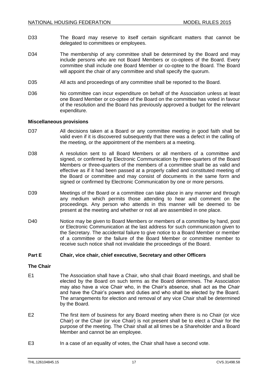- D33 The Board may reserve to itself certain significant matters that cannot be delegated to committees or employees.
- D34 The membership of any committee shall be determined by the Board and may include persons who are not Board Members or co-optees of the Board. Every committee shall include one Board Member or co-optee to the Board. The Board will appoint the chair of any committee and shall specify the quorum.
- D35 All acts and proceedings of any committee shall be reported to the Board.
- <span id="page-20-0"></span>D36 No committee can incur expenditure on behalf of the Association unless at least one Board Member or co-optee of the Board on the committee has voted in favour of the resolution and the Board has previously approved a budget for the relevant expenditure.

#### **Miscellaneous provisions**

- D37 All decisions taken at a Board or any committee meeting in good faith shall be valid even if it is discovered subsequently that there was a defect in the calling of the meeting, or the appointment of the members at a meeting.
- D38 A resolution sent to all Board Members or all members of a committee and signed, or confirmed by Electronic Communication by three-quarters of the Board Members or three-quarters of the members of a committee shall be as valid and effective as if it had been passed at a properly called and constituted meeting of the Board or committee and may consist of documents in the same form and signed or confirmed by Electronic Communication by one or more persons.
- D39 Meetings of the Board or a committee can take place in any manner and through any medium which permits those attending to hear and comment on the proceedings. Any person who attends in this manner will be deemed to be present at the meeting and whether or not all are assembled in one place.
- D40 Notice may be given to Board Members or members of a committee by hand, post or Electronic Communication at the last address for such communication given to the Secretary. The accidental failure to give notice to a Board Member or member of a committee or the failure of the Board Member or committee member to receive such notice shall not invalidate the proceedings of the Board.

#### **Part E Chair, vice chair, chief executive, Secretary and other Officers**

#### **The Chair**

- <span id="page-20-1"></span>E1 The Association shall have a Chair, who shall chair Board meetings, and shall be elected by the Board on such terms as the Board determines. The Association may also have a vice Chair who, in the Chair's absence, shall act as the Chair and have the Chair's powers and duties and who shall be elected by the Board. The arrangements for election and removal of any vice Chair shall be determined by the Board.
- E2 The first item of business for any Board meeting when there is no Chair (or vice Chair) or the Chair (or vice Chair) is not present shall be to elect a Chair for the purpose of the meeting. The Chair shall at all times be a Shareholder and a Board Member and cannot be an employee.
- E3 In a case of an equality of votes, the Chair shall have a second vote.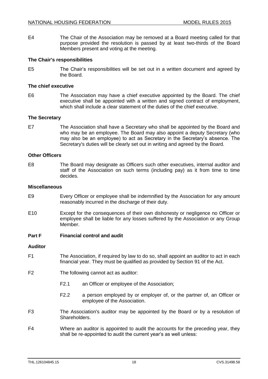E4 The Chair of the Association may be removed at a Board meeting called for that purpose provided the resolution is passed by at least two-thirds of the Board Members present and voting at the meeting.

#### **The Chair's responsibilities**

E5 The Chair's responsibilities will be set out in a written document and agreed by the Board.

#### **The chief executive**

E6 The Association may have a chief executive appointed by the Board. The chief executive shall be appointed with a written and signed contract of employment, which shall include a clear statement of the duties of the chief executive.

#### **The Secretary**

E7 The Association shall have a Secretary who shall be appointed by the Board and who may be an employee. The Board may also appoint a deputy Secretary (who may also be an employee) to act as Secretary in the Secretary's absence. The Secretary's duties will be clearly set out in writing and agreed by the Board.

#### **Other Officers**

<span id="page-21-3"></span>E8 The Board may designate as Officers such other executives, internal auditor and staff of the Association on such terms (including pay) as it from time to time decides.

#### **Miscellaneous**

- E9 Every Officer or employee shall be indemnified by the Association for any amount reasonably incurred in the discharge of their duty.
- E10 Except for the consequences of their own dishonesty or negligence no Officer or employee shall be liable for any losses suffered by the Association or any Group Member.

#### **Part F Financial control and audit**

#### **Auditor**

- F1 The Association, if required by law to do so, shall appoint an auditor to act in each financial year. They must be qualified as provided by Section 91 of the Act.
- <span id="page-21-2"></span>F2 The following cannot act as auditor:
	- F2.1 an Officer or employee of the Association;
	- F2.2 a person employed by or employer of, or the partner of, an Officer or employee of the Association.
- <span id="page-21-0"></span>F3 The Association's auditor may be appointed by the Board or by a resolution of Shareholders.
- <span id="page-21-1"></span>F4 Where an auditor is appointed to audit the accounts for the preceding year, they shall be re-appointed to audit the current year's as well unless: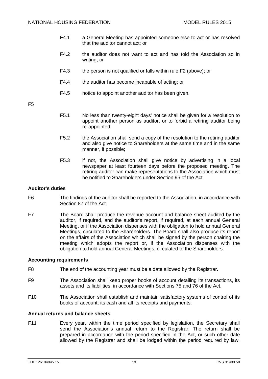- F4.1 a General Meeting has appointed someone else to act or has resolved that the auditor cannot act; or
- F4.2 the auditor does not want to act and has told the Association so in writing; or
- F4.3 the person is not qualified or falls within rule [F2](#page-21-2) (above); or
- F4.4 the auditor has become incapable of acting; or
- F4.5 notice to appoint another auditor has been given.

F5

- F5.1 No less than twenty-eight days' notice shall be given for a resolution to appoint another person as auditor, or to forbid a retiring auditor being re-appointed;
- F5.2 the Association shall send a copy of the resolution to the retiring auditor and also give notice to Shareholders at the same time and in the same manner, if possible;
- F5.3 if not, the Association shall give notice by advertising in a local newspaper at least fourteen days before the proposed meeting. The retiring auditor can make representations to the Association which must be notified to Shareholders under Section 95 of the Act.

#### **Auditor's duties**

- F6 The findings of the auditor shall be reported to the Association, in accordance with Section 87 of the Act.
- F7 The Board shall produce the revenue account and balance sheet audited by the auditor, if required, and the auditor's report, if required, at each annual General Meeting, or if the Association dispenses with the obligation to hold annual General Meetings, circulated to the Shareholders. The Board shall also produce its report on the affairs of the Association which shall be signed by the person chairing the meeting which adopts the report or, if the Association dispenses with the obligation to hold annual General Meetings, circulated to the Shareholders.

#### **Accounting requirements**

- F8 The end of the accounting year must be a date allowed by the Registrar.
- F9 The Association shall keep proper books of account detailing its transactions, its assets and its liabilities, in accordance with Sections 75 and 76 of the Act.
- F10 The Association shall establish and maintain satisfactory systems of control of its books of account, its cash and all its receipts and payments.

# **Annual returns and balance sheets**

F11 Every year, within the time period specified by legislation, the Secretary shall send the Association's annual return to the Registrar. The return shall be prepared in accordance with the period specified in the Act, or such other date allowed by the Registrar and shall be lodged within the period required by law.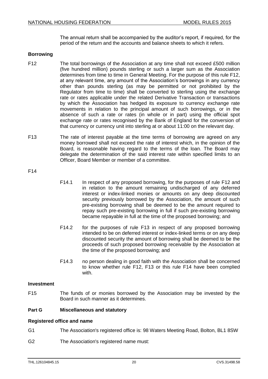The annual return shall be accompanied by the auditor's report, if required, for the period of the return and the accounts and balance sheets to which it refers.

#### **Borrowing**

- <span id="page-23-1"></span>F12 The total borrowings of the Association at any time shall not exceed £500 million (five hundred million) pounds sterling or such a larger sum as the Association determines from time to time in General Meeting. For the purpose of this rule [F12,](#page-23-1) at any relevant time, any amount of the Association's borrowings in any currency other than pounds sterling (as may be permitted or not prohibited by the Regulator from time to time) shall be converted to sterling using the exchange rate or rates applicable under the related Derivative Transaction or transactions by which the Association has hedged its exposure to currency exchange rate movements in relation to the principal amount of such borrowings, or in the absence of such a rate or rates (in whole or in part) using the official spot exchange rate or rates recognised by the Bank of England for the conversion of that currency or currency unit into sterling at or about 11:00 on the relevant day.
- <span id="page-23-2"></span>F13 The rate of interest payable at the time terms of borrowing are agreed on any money borrowed shall not exceed the rate of interest which, in the opinion of the Board, is reasonable having regard to the terms of the loan. The Board may delegate the determination of the said interest rate within specified limits to an Officer, Board Member or member of a committee.

<span id="page-23-3"></span>F14

- F14.1 In respect of any proposed borrowing, for the purposes of rule [F12](#page-23-1) and in relation to the amount remaining undischarged of any deferred interest or index-linked monies or amounts on any deep discounted security previously borrowed by the Association, the amount of such pre-existing borrowing shall be deemed to be the amount required to repay such pre-existing borrowing in full if such pre-existing borrowing became repayable in full at the time of the proposed borrowing; and
- F14.2 for the purposes of rule [F13](#page-23-2) in respect of any proposed borrowing intended to be on deferred interest or index-linked terms or on any deep discounted security the amount of borrowing shall be deemed to be the proceeds of such proposed borrowing receivable by the Association at the time of the proposed borrowing; and
- F14.3 no person dealing in good faith with the Association shall be concerned to know whether rule [F12,](#page-23-1) [F13](#page-23-2) or this rule [F14](#page-23-3) have been complied with.

#### **Investment**

<span id="page-23-0"></span>F15 The funds of or monies borrowed by the Association may be invested by the Board in such manner as it determines.

# **Part G Miscellaneous and statutory**

# **Registered office and name**

- G1 The Association's registered office is: 98 Waters Meeting Road, Bolton, BL1 8SW
- G2 The Association's registered name must: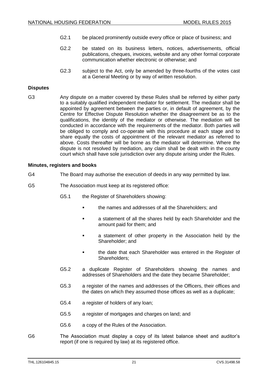- G2.1 be placed prominently outside every office or place of business; and
- G2.2 be stated on its business letters, notices, advertisements, official publications, cheques, invoices, website and any other formal corporate communication whether electronic or otherwise; and
- G2.3 subject to the Act, only be amended by three-fourths of the votes cast at a General Meeting or by way of written resolution.

#### **Disputes**

G3 Any dispute on a matter covered by these Rules shall be referred by either party to a suitably qualified independent mediator for settlement. The mediator shall be appointed by agreement between the parties or, in default of agreement, by the Centre for Effective Dispute Resolution whether the disagreement be as to the qualifications, the identity of the mediator or otherwise. The mediation will be conducted in accordance with the requirements of the mediator. Both parties will be obliged to comply and co-operate with this procedure at each stage and to share equally the costs of appointment of the relevant mediator as referred to above. Costs thereafter will be borne as the mediator will determine. Where the dispute is not resolved by mediation, any claim shall be dealt with in the county court which shall have sole jurisdiction over any dispute arising under the Rules.

#### **Minutes, registers and books**

- G4 The Board may authorise the execution of deeds in any way permitted by law.
- <span id="page-24-0"></span>G5 The Association must keep at its registered office:
	- G5.1 the Register of Shareholders showing:
		- the names and addresses of all the Shareholders; and
		- a statement of all the shares held by each Shareholder and the amount paid for them; and
		- **a** statement of other property in the Association held by the Shareholder; and
		- **the date that each Shareholder was entered in the Register of** Shareholders;
	- G5.2 a duplicate Register of Shareholders showing the names and addresses of Shareholders and the date they became Shareholder;
	- G5.3 a register of the names and addresses of the Officers, their offices and the dates on which they assumed those offices as well as a duplicate;
	- G5.4 a register of holders of any loan;
	- G5.5 a register of mortgages and charges on land; and
	- G5.6 a copy of the Rules of the Association.
- G6 The Association must display a copy of its latest balance sheet and auditor's report (if one is required by law) at its registered office.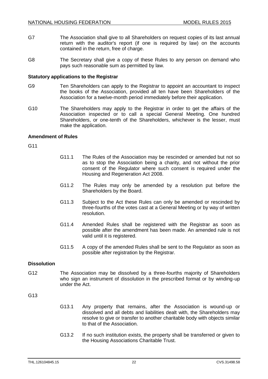- G7 The Association shall give to all Shareholders on request copies of its last annual return with the auditor's report (if one is required by law) on the accounts contained in the return, free of charge.
- G8 The Secretary shall give a copy of these Rules to any person on demand who pays such reasonable sum as permitted by law.

#### **Statutory applications to the Registrar**

- G9 Ten Shareholders can apply to the Registrar to appoint an accountant to inspect the books of the Association, provided all ten have been Shareholders of the Association for a twelve-month period immediately before their application.
- G10 The Shareholders may apply to the Registrar in order to get the affairs of the Association inspected or to call a special General Meeting. One hundred Shareholders, or one-tenth of the Shareholders, whichever is the lesser, must make the application.

#### **Amendment of Rules**

G11

- G11.1 The Rules of the Association may be rescinded or amended but not so as to stop the Association being a charity, and not without the prior consent of the Regulator where such consent is required under the Housing and Regeneration Act 2008.
- G11.2 The Rules may only be amended by a resolution put before the Shareholders by the Board.
- G11.3 Subject to the Act these Rules can only be amended or rescinded by three-fourths of the votes cast at a General Meeting or by way of written resolution.
- G11.4 Amended Rules shall be registered with the Registrar as soon as possible after the amendment has been made. An amended rule is not valid until it is registered.
- G11.5 A copy of the amended Rules shall be sent to the Regulator as soon as possible after registration by the Registrar.

# **Dissolution**

G12 The Association may be dissolved by a three-fourths majority of Shareholders who sign an instrument of dissolution in the prescribed format or by winding-up under the Act.

# G13

- G13.1 Any property that remains, after the Association is wound-up or dissolved and all debts and liabilities dealt with, the Shareholders may resolve to give or transfer to another charitable body with objects similar to that of the Association.
- G13.2 If no such institution exists, the property shall be transferred or given to the Housing Associations Charitable Trust.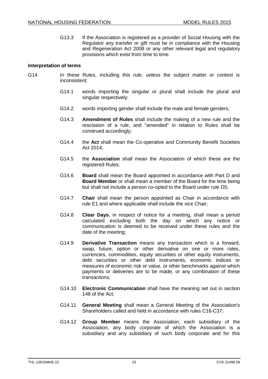G13.3 If the Association is registered as a provider of Social Housing with the Regulator any transfer or gift must be in compliance with the Housing and Regeneration Act 2008 or any other relevant legal and regulatory provisions which exist from time to time.

# **Interpretation of terms**

- G14 In these Rules, including this rule, unless the subject matter or context is inconsistent:
	- G14.1 words importing the singular or plural shall include the plural and singular respectively;
	- G14.2 words importing gender shall include the male and female genders;
	- G14.3 **Amendment of Rules** shall include the making of a new rule and the rescission of a rule, and "amended" in relation to Rules shall be construed accordingly;
	- G14.4 the **Act** shall mean the Co-operative and Community Benefit Societies Act 2014;
	- G14.5 the **Association** shall mean the Association of which these are the registered Rules;
	- G14.6 **Board** shall mean the Board appointed in accordance with Part D and **Board Member** or shall mean a member of the Board for the time being but shall not include a person co-opted to the Board under rule [D5;](#page-13-1)
	- G14.7 **Chair** shall mean the person appointed as Chair in accordance with rule [E1](#page-20-1) and where applicable shall include the vice Chair;
	- G14.8 **Clear Days**, in respect of notice for a meeting, shall mean a period calculated excluding both the day on which any notice or communication is deemed to be received under these rules and the date of the meeting;
	- G14.9 **Derivative Transaction** means any transaction which is a forward, swap, future, option or other derivative on one or more rates, currencies, commodities, equity securities or other equity instruments, debt securities or other debt instruments, economic indices or measures of economic risk or value, or other benchmarks against which payments or deliveries are to be made, or any combination of these transactions;
	- G14.10 **Electronic Communication** shall have the meaning set out in section 148 of the Act;
	- G14.11 **General Meeting** shall mean a General Meeting of the Association's Shareholders called and held in accordance with rules [C16](#page-8-1)[-C37;](#page-11-0)
	- G14.12 **Group Member** means the Association, each subsidiary of the Association, any body corporate of which the Association is a subsidiary and any subsidiary of such body corporate and for this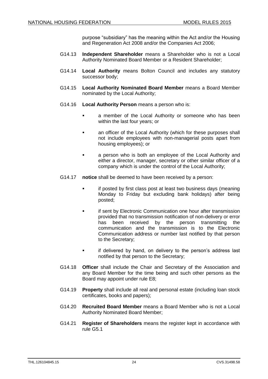purpose "subsidiary" has the meaning within the Act and/or the Housing and Regeneration Act 2008 and/or the Companies Act 2006;

- G14.13 **Independent Shareholder** means a Shareholder who is not a Local Authority Nominated Board Member or a Resident Shareholder;
- G14.14 **Local Authority** means Bolton Council and includes any statutory successor body;
- G14.15 **Local Authority Nominated Board Member** means a Board Member nominated by the Local Authority;
- G14.16 **Local Authority Person** means a person who is:
	- a member of the Local Authority or someone who has been within the last four years; or
	- an officer of the Local Authority (which for these purposes shall not include employees with non-managerial posts apart from housing employees); or
	- a person who is both an employee of the Local Authority and either a director, manager, secretary or other similar officer of a company which is under the control of the Local Authority;
- <span id="page-27-0"></span>G14.17 **notice** shall be deemed to have been received by a person:
	- if posted by first class post at least two business days (meaning Monday to Friday but excluding bank holidays) after being posted;
	- if sent by Electronic Communication one hour after transmission provided that no transmission notification of non-delivery or error has been received by the person transmitting the communication and the transmission is to the Electronic Communication address or number last notified by that person to the Secretary;
	- **i** if delivered by hand, on delivery to the person's address last notified by that person to the Secretary;
- G14.18 **Officer** shall include the Chair and Secretary of the Association and any Board Member for the time being and such other persons as the Board may appoint under rule [E8;](#page-21-3)
- G14.19 **Property** shall include all real and personal estate (including loan stock certificates, books and papers);
- G14.20 **Recruited Board Member** means a Board Member who is not a Local Authority Nominated Board Member;
- G14.21 **Register of Shareholders** means the register kept in accordance with rule [G5.1](#page-24-0)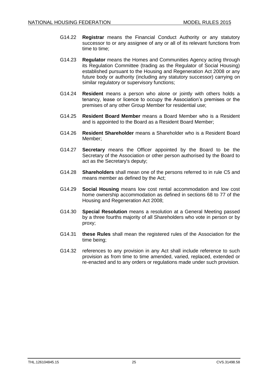- G14.22 **Registrar** means the Financial Conduct Authority or any statutory successor to or any assignee of any or all of its relevant functions from time to time;
- G14.23 **Regulator** means the Homes and Communities Agency acting through its Regulation Committee (trading as the Regulator of Social Housing) established pursuant to the Housing and Regeneration Act 2008 or any future body or authority (including any statutory successor) carrying on similar regulatory or supervisory functions;
- G14.24 **Resident** means a person who alone or jointly with others holds a tenancy, lease or licence to occupy the Association's premises or the premises of any other Group Member for residential use;
- G14.25 **Resident Board Member** means a Board Member who is a Resident and is appointed to the Board as a Resident Board Member;
- G14.26 **Resident Shareholder** means a Shareholder who is a Resident Board Member;
- G14.27 **Secretary** means the Officer appointed by the Board to be the Secretary of the Association or other person authorised by the Board to act as the Secretary's deputy;
- G14.28 **Shareholders** shall mean one of the persons referred to in rule [C5](#page-6-3) and means member as defined by the Act;
- G14.29 **Social Housing** means low cost rental accommodation and low cost home ownership accommodation as defined in sections 68 to 77 of the Housing and Regeneration Act 2008;
- G14.30 **Special Resolution** means a resolution at a General Meeting passed by a three fourths majority of all Shareholders who vote in person or by proxy;
- G14.31 **these Rules** shall mean the registered rules of the Association for the time being;
- G14.32 references to any provision in any Act shall include reference to such provision as from time to time amended, varied, replaced, extended or re-enacted and to any orders or regulations made under such provision.